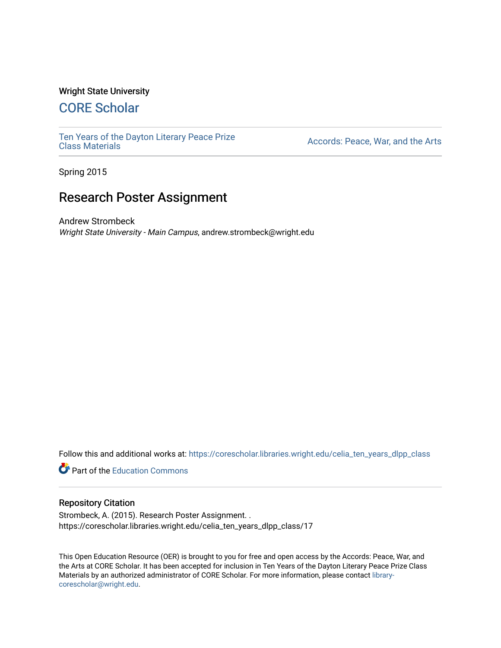#### Wright State University

# [CORE Scholar](https://corescholar.libraries.wright.edu/)

[Ten Years of the Dayton Literary Peace Prize](https://corescholar.libraries.wright.edu/celia_ten_years_dlpp_class)

Accords: Peace, War, and the Arts

Spring 2015

# Research Poster Assignment

Andrew Strombeck Wright State University - Main Campus, andrew.strombeck@wright.edu

Follow this and additional works at: [https://corescholar.libraries.wright.edu/celia\\_ten\\_years\\_dlpp\\_class](https://corescholar.libraries.wright.edu/celia_ten_years_dlpp_class?utm_source=corescholar.libraries.wright.edu%2Fcelia_ten_years_dlpp_class%2F17&utm_medium=PDF&utm_campaign=PDFCoverPages)

**P** Part of the [Education Commons](http://network.bepress.com/hgg/discipline/784?utm_source=corescholar.libraries.wright.edu%2Fcelia_ten_years_dlpp_class%2F17&utm_medium=PDF&utm_campaign=PDFCoverPages)

#### Repository Citation

Strombeck, A. (2015). Research Poster Assignment. . https://corescholar.libraries.wright.edu/celia\_ten\_years\_dlpp\_class/17

This Open Education Resource (OER) is brought to you for free and open access by the Accords: Peace, War, and the Arts at CORE Scholar. It has been accepted for inclusion in Ten Years of the Dayton Literary Peace Prize Class Materials by an authorized administrator of CORE Scholar. For more information, please contact [library](mailto:library-corescholar@wright.edu)[corescholar@wright.edu](mailto:library-corescholar@wright.edu).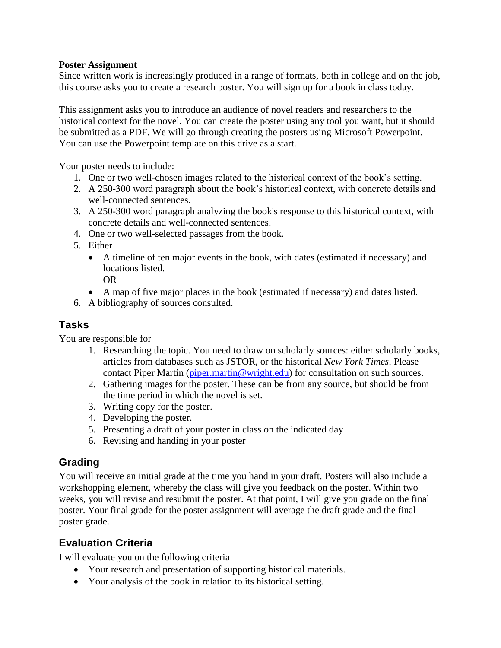### **Poster Assignment**

Since written work is increasingly produced in a range of formats, both in college and on the job, this course asks you to create a research poster. You will sign up for a book in class today.

This assignment asks you to introduce an audience of novel readers and researchers to the historical context for the novel. You can create the poster using any tool you want, but it should be submitted as a PDF. We will go through creating the posters using Microsoft Powerpoint. You can use the Powerpoint template on this drive as a start.

Your poster needs to include:

- 1. One or two well-chosen images related to the historical context of the book's setting.
- 2. A 250-300 word paragraph about the book's historical context, with concrete details and well-connected sentences.
- 3. A 250-300 word paragraph analyzing the book's response to this historical context, with concrete details and well-connected sentences.
- 4. One or two well-selected passages from the book.
- 5. Either
	- A timeline of ten major events in the book, with dates (estimated if necessary) and locations listed.
		- OR
	- A map of five major places in the book (estimated if necessary) and dates listed.
- 6. A bibliography of sources consulted.

### **Tasks**

You are responsible for

- 1. Researching the topic. You need to draw on scholarly sources: either scholarly books, articles from databases such as JSTOR, or the historical *New York Times*. Please contact Piper Martin [\(piper.martin@wright.edu\)](mailto:piper.martin@wright.edu) for consultation on such sources.
- 2. Gathering images for the poster. These can be from any source, but should be from the time period in which the novel is set.
- 3. Writing copy for the poster.
- 4. Developing the poster.
- 5. Presenting a draft of your poster in class on the indicated day
- 6. Revising and handing in your poster

## **Grading**

You will receive an initial grade at the time you hand in your draft. Posters will also include a workshopping element, whereby the class will give you feedback on the poster. Within two weeks, you will revise and resubmit the poster. At that point, I will give you grade on the final poster. Your final grade for the poster assignment will average the draft grade and the final poster grade.

# **Evaluation Criteria**

I will evaluate you on the following criteria

- Your research and presentation of supporting historical materials.
- Your analysis of the book in relation to its historical setting.